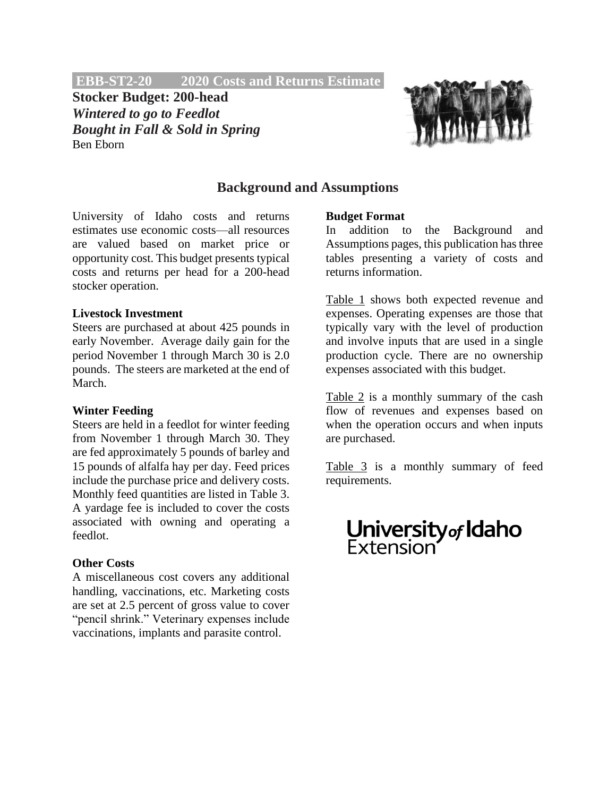**EBB-ST2-20 2020 Costs and Returns Estimate.**

**Stocker Budget: 200-head** *Wintered to go to Feedlot Bought in Fall & Sold in Spring* Ben Eborn



## **Background and Assumptions**

University of Idaho costs and returns estimates use economic costs—all resources are valued based on market price or opportunity cost. This budget presents typical costs and returns per head for a 200-head stocker operation.

## **Livestock Investment**

Steers are purchased at about 425 pounds in early November. Average daily gain for the period November 1 through March 30 is 2.0 pounds. The steers are marketed at the end of March.

#### **Winter Feeding**

Steers are held in a feedlot for winter feeding from November 1 through March 30. They are fed approximately 5 pounds of barley and 15 pounds of alfalfa hay per day. Feed prices include the purchase price and delivery costs. Monthly feed quantities are listed in Table 3. A yardage fee is included to cover the costs associated with owning and operating a feedlot.

## **Other Costs**

A miscellaneous cost covers any additional handling, vaccinations, etc. Marketing costs are set at 2.5 percent of gross value to cover "pencil shrink." Veterinary expenses include vaccinations, implants and parasite control.

### **Budget Format**

In addition to the Background and Assumptions pages, this publication has three tables presenting a variety of costs and returns information.

Table 1 shows both expected revenue and expenses. Operating expenses are those that typically vary with the level of production and involve inputs that are used in a single production cycle. There are no ownership expenses associated with this budget.

Table 2 is a monthly summary of the cash flow of revenues and expenses based on when the operation occurs and when inputs are purchased.

Table 3 is a monthly summary of feed requirements.

# **University<sub>of</sub> Idaho**<br>Extension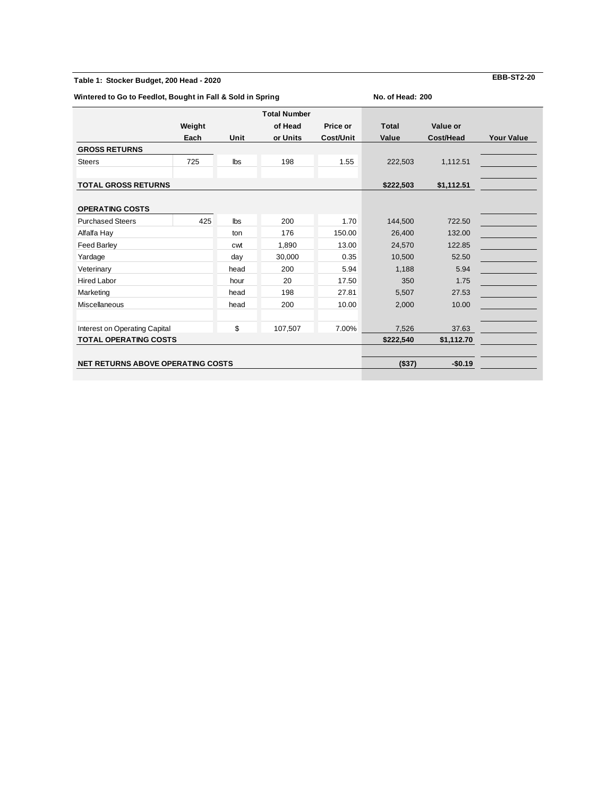#### **Table 1: Stocker Budget, 200 Head - 2020**

**Wintered to Go to Feedlot, Bought in Fall & Sold in Spring**

**No. of Head: 200**

|                                          | Weight    |            | <b>Total Number</b><br>of Head | Price or  | <b>Total</b> | Value or  |                   |
|------------------------------------------|-----------|------------|--------------------------------|-----------|--------------|-----------|-------------------|
|                                          |           |            |                                |           |              |           |                   |
|                                          | Each      | Unit       | or Units                       | Cost/Unit | Value        | Cost/Head | <b>Your Value</b> |
| <b>GROSS RETURNS</b>                     |           |            |                                |           |              |           |                   |
| <b>Steers</b>                            | 725       | lbs        | 198                            | 1.55      | 222,503      | 1,112.51  |                   |
|                                          |           |            |                                |           |              |           |                   |
| <b>TOTAL GROSS RETURNS</b>               | \$222,503 | \$1,112.51 |                                |           |              |           |                   |
|                                          |           |            |                                |           |              |           |                   |
| <b>OPERATING COSTS</b>                   |           |            |                                |           |              |           |                   |
| <b>Purchased Steers</b>                  | 425       | <b>lbs</b> | 200                            | 1.70      | 144,500      | 722.50    |                   |
| Alfalfa Hay                              |           | ton        | 176                            | 150.00    | 26,400       | 132.00    |                   |
| <b>Feed Barley</b>                       |           | cwt        | 1,890                          | 13.00     | 24,570       | 122.85    |                   |
| Yardage                                  |           | day        | 30,000                         | 0.35      | 10,500       | 52.50     |                   |
| Veterinary                               |           | head       | 200                            | 5.94      | 1,188        | 5.94      |                   |
| <b>Hired Labor</b>                       |           | hour       | 20                             | 17.50     | 350          | 1.75      |                   |
| Marketing                                |           | head       | 198                            | 27.81     | 5,507        | 27.53     |                   |
| <b>Miscellaneous</b>                     |           | head       | 200                            | 10.00     | 2,000        | 10.00     |                   |
| Interest on Operating Capital            |           | \$         | 107,507                        | 7.00%     | 7,526        | 37.63     |                   |
| <b>TOTAL OPERATING COSTS</b>             | \$222,540 | \$1,112.70 |                                |           |              |           |                   |
|                                          |           |            |                                |           |              |           |                   |
| <b>NET RETURNS ABOVE OPERATING COSTS</b> |           |            |                                |           | (\$37)       | $-$0.19$  |                   |